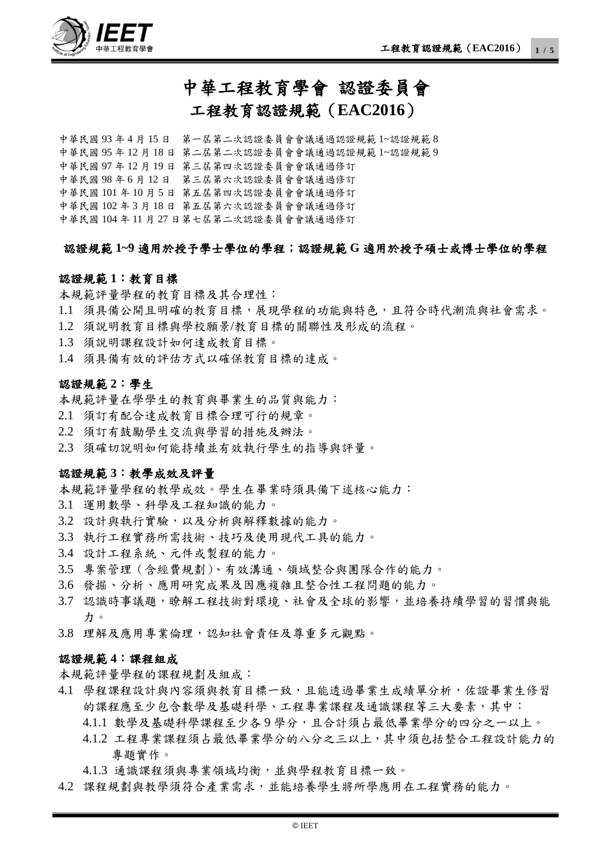

## 中華工程教育學會 認證委員會 工程教育認證規範(**EAC2016**)

中華民國 93 年 4 月 15 日 第一屆第二次認證委員會會議通過認證規範 1~認證規範 8 中華民國 95 年 12 月 18 日 第二屆第二次認證委員會會議通過認證規範 1~認證規範 9 中華民國 97 年 12 月 19 日 第三屆第四次認證委員會會議通過修訂 中華民國 98 年 6 月 12 日 第三屆第六次認證委員會會議通過修訂 中華民國 101 年 10 月 5 日 第五屆第四次認證委員會會議通過修訂 中華民國 102 年 3 月 18 日 第五屆第六次認證委員會會議通過修訂 中華民國 104 年 11 月 27 日第七屆第二次認證委員會會議通過修訂

#### 認證規範 **1~9** 適用於授予學士學位的學程;認證規範 **G** 適用於授予碩士或博士學位的學程

#### 認證規範 **1**:教育目標

本規範評量學程的教育目標及其合理性:

- 1.1 須具備公開且明確的教育目標,展現學程的功能與特色,且符合時代潮流與社會需求。
- 1.2 須說明教育目標與學校願景/教育目標的關聯性及形成的流程。
- 1.3 須說明課程設計如何達成教育目標。
- 1.4 須具備有效的評估方式以確保教育目標的達成。

#### 認證規範 **2**:學生

本規範評量在學學生的教育與畢業生的品質與能力:

- 2.1 須訂有配合達成教育目標合理可行的規章。
- 2.2 須訂有鼓勵學生交流與學習的措施及辦法。
- 2.3 須確切說明如何能持續並有效執行學生的指導與評量。

#### 認證規範 **3**:教學成效及評量

本規範評量學程的教學成效。學生在畢業時須具備下述核心能力:

- 3.1 運用數學、科學及工程知識的能力。
- 3.2 設計與執行實驗,以及分析與解釋數據的能力。
- 3.3 執行工程實務所需技術、技巧及使用現代工具的能力。
- 3.4 設計工程系統、元件或製程的能力。
- 3.5 專案管理(含經費規劃)、有效溝通、領域整合與團隊合作的能力。
- 3.6 發掘、分析、應用研究成果及因應複雜且整合性工程問題的能力。
- 3.7 認識時事議題,瞭解工程技術對環境、社會及全球的影響,並培養持續學習的習慣與能 力。
- 3.8 理解及應用專業倫理,認知社會責任及尊重多元觀點。

#### 認證規範 **4**:課程組成

本規範評量學程的課程規劃及組成:

- 4.1 學程課程設計與內容須與教育目標一致,且能透過畢業生成績單分析,佐證畢業生修習 的課程應至少包含數學及基礎科學、工程專業課程及通識課程等三大要素,其中:
	- 4.1.1 數學及基礎科學課程至少各 9 學分,且合計須占最低畢業學分的四分之一以上。
	- 4.1.2 工程專業課程須占最低畢業學分的八分之三以上,其中須包括整合工程設計能力的 專題實作。
	- 4.1.3 通識課程須與專業領域均衡,並與學程教育目標一致。
- 4.2 課程規劃與教學須符合產業需求,並能培養學生將所學應用在工程實務的能力。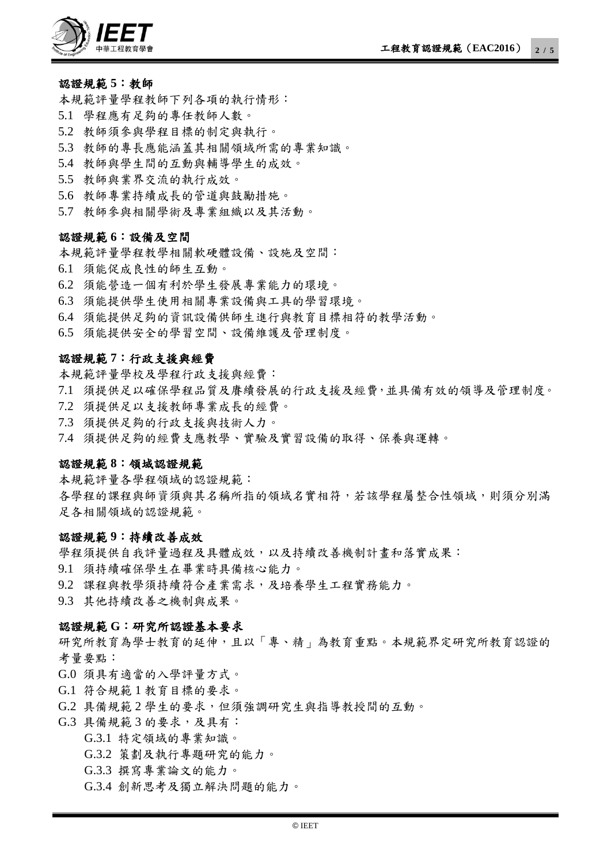

#### 認證規範 **5**:教師

本規範評量學程教師下列各項的執行情形:

- 5.1 學程應有足夠的專任教師人數。
- 5.2 教師須參與學程目標的制定與執行。
- 5.3 教師的專長應能涵蓋其相關領域所需的專業知識。
- 5.4 教師與學生間的互動與輔導學生的成效。
- 5.5 教師與業界交流的執行成效。
- 5.6 教師專業持續成長的管道與鼓勵措施。
- 5.7 教師參與相關學術及專業組織以及其活動。

#### 認證規範 **6**:設備及空間

本規範評量學程教學相關軟硬體設備、設施及空間:

- 6.1 須能促成良性的師生互動。
- 6.2 須能營造一個有利於學生發展專業能力的環境。
- 6.3 須能提供學生使用相關專業設備與工具的學習環境。
- 6.4 須能提供足夠的資訊設備供師生進行與教育目標相符的教學活動。
- 6.5 須能提供安全的學習空間、設備維護及管理制度。

#### 認證規範 **7**:行政支援與經費

本規範評量學校及學程行政支援與經費:

- 7.1 須提供足以確保學程品質及賡續發展的行政支援及經費,並具備有效的領導及管理制度。
- 7.2 須提供足以支援教師專業成長的經費。
- 7.3 須提供足夠的行政支援與技術人力。

7.4 須提供足夠的經費支應教學、實驗及實習設備的取得、保養與運轉。

#### 認證規範 **8**:領域認證規範

本規範評量各學程領域的認證規範: 各學程的課程與師資須與其名稱所指的領域名實相符,若該學程屬整合性領域,則須分別滿 足各相關領域的認證規範。

#### 認證規範 **9**:持續改善成效

學程須提供自我評量過程及具體成效,以及持續改善機制計書和落實成果: 9.1 須持續確保學生在畢業時具備核心能力。 9.2 課程與教學須持續符合產業需求,及培養學生工程實務能力。 9.3 其他持續改善之機制與成果。

#### 認證規範 **G**:研究所認證基本要求

研究所教育為學士教育的延伸,且以「專、精」為教育重點。本規範界定研究所教育認證的 考量要點:

G.0 須具有適當的入學評量方式。

- G.1 符合規範 1 教育目標的要求。
- G.2 具備規範 2 學生的要求,但須強調研究生與指導教授間的互動。

#### G.3 具備規範 3 的要求,及具有:

G.3.1 特定領域的專業知識。

- G.3.2 策劃及執行專題研究的能力。
- G.3.3 撰寫專業論文的能力。
- G.3.4 創新思考及獨立解決問題的能力。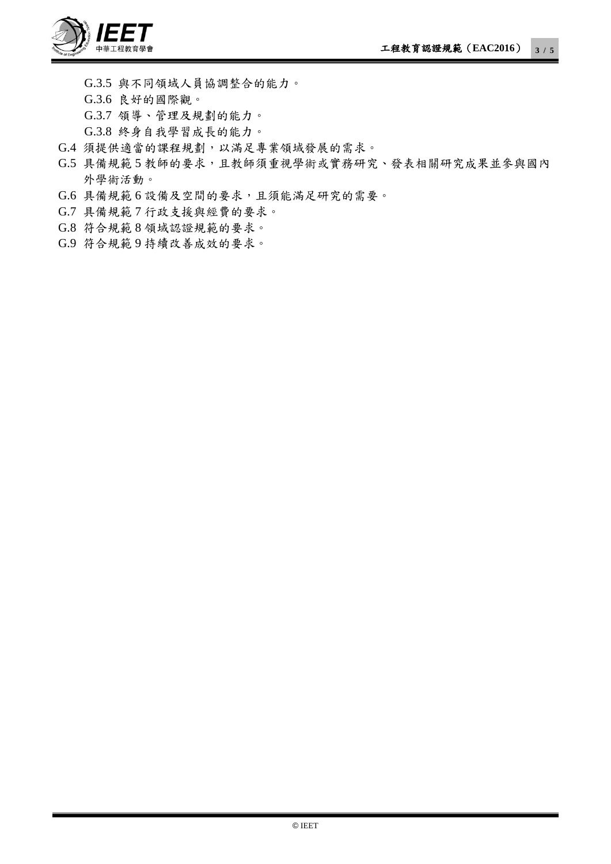

G.3.5 與不同領域人員協調整合的能力。 G.3.6 良好的國際觀。 G.3.7 領導、管理及規劃的能力。 G.3.8 終身自我學習成長的能力。

- G.4 須提供適當的課程規劃,以滿足專業領域發展的需求。
- G.5 具備規範 5 教師的要求,且教師須重視學術或實務研究、發表相關研究成果並參與國內 外學術活動。
- G.6 具備規範 6 設備及空間的要求,且須能滿足研究的需要。
- G.7 具備規範 7 行政支援與經費的要求。
- G.8 符合規範 8 領域認證規範的要求。
- G.9 符合規範 9 持續改善成效的要求。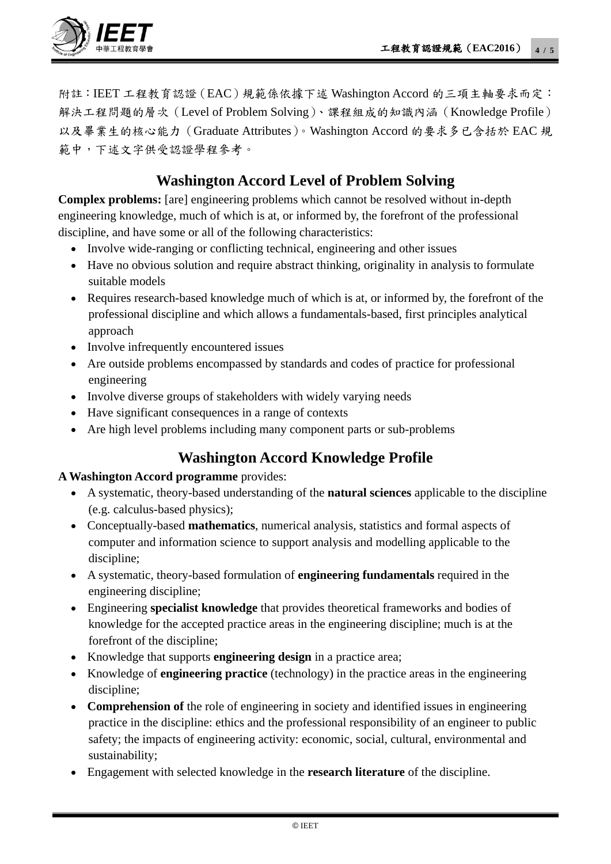

附註:IEET 工程教育認證(EAC)規範係依據下述 Washington Accord 的三項主軸要求而定: 解決工程問題的層次(Level of Problem Solving)、課程組成的知識內涵(Knowledge Profile) 以及畢業生的核心能力(Graduate Attributes)。Washington Accord 的要求多已含括於 EAC 規 範中,下述文字供受認證學程參考。

## **Washington Accord Level of Problem Solving**

**Complex problems:** [are] engineering problems which cannot be resolved without in-depth engineering knowledge, much of which is at, or informed by, the forefront of the professional discipline, and have some or all of the following characteristics:

- Involve wide-ranging or conflicting technical, engineering and other issues
- Have no obvious solution and require abstract thinking, originality in analysis to formulate suitable models
- Requires research-based knowledge much of which is at, or informed by, the forefront of the professional discipline and which allows a fundamentals-based, first principles analytical approach
- Involve infrequently encountered issues
- Are outside problems encompassed by standards and codes of practice for professional engineering
- Involve diverse groups of stakeholders with widely varying needs
- Have significant consequences in a range of contexts
- Are high level problems including many component parts or sub-problems

## **Washington Accord Knowledge Profile**

#### **A Washington Accord programme** provides:

- A systematic, theory-based understanding of the **natural sciences** applicable to the discipline (e.g. calculus-based physics);
- Conceptually-based **mathematics**, numerical analysis, statistics and formal aspects of computer and information science to support analysis and modelling applicable to the discipline;
- A systematic, theory-based formulation of **engineering fundamentals** required in the engineering discipline;
- Engineering **specialist knowledge** that provides theoretical frameworks and bodies of knowledge for the accepted practice areas in the engineering discipline; much is at the forefront of the discipline;
- Knowledge that supports **engineering design** in a practice area;
- Knowledge of **engineering practice** (technology) in the practice areas in the engineering discipline;
- **Comprehension of** the role of engineering in society and identified issues in engineering practice in the discipline: ethics and the professional responsibility of an engineer to public safety; the impacts of engineering activity: economic, social, cultural, environmental and sustainability;
- Engagement with selected knowledge in the **research literature** of the discipline.